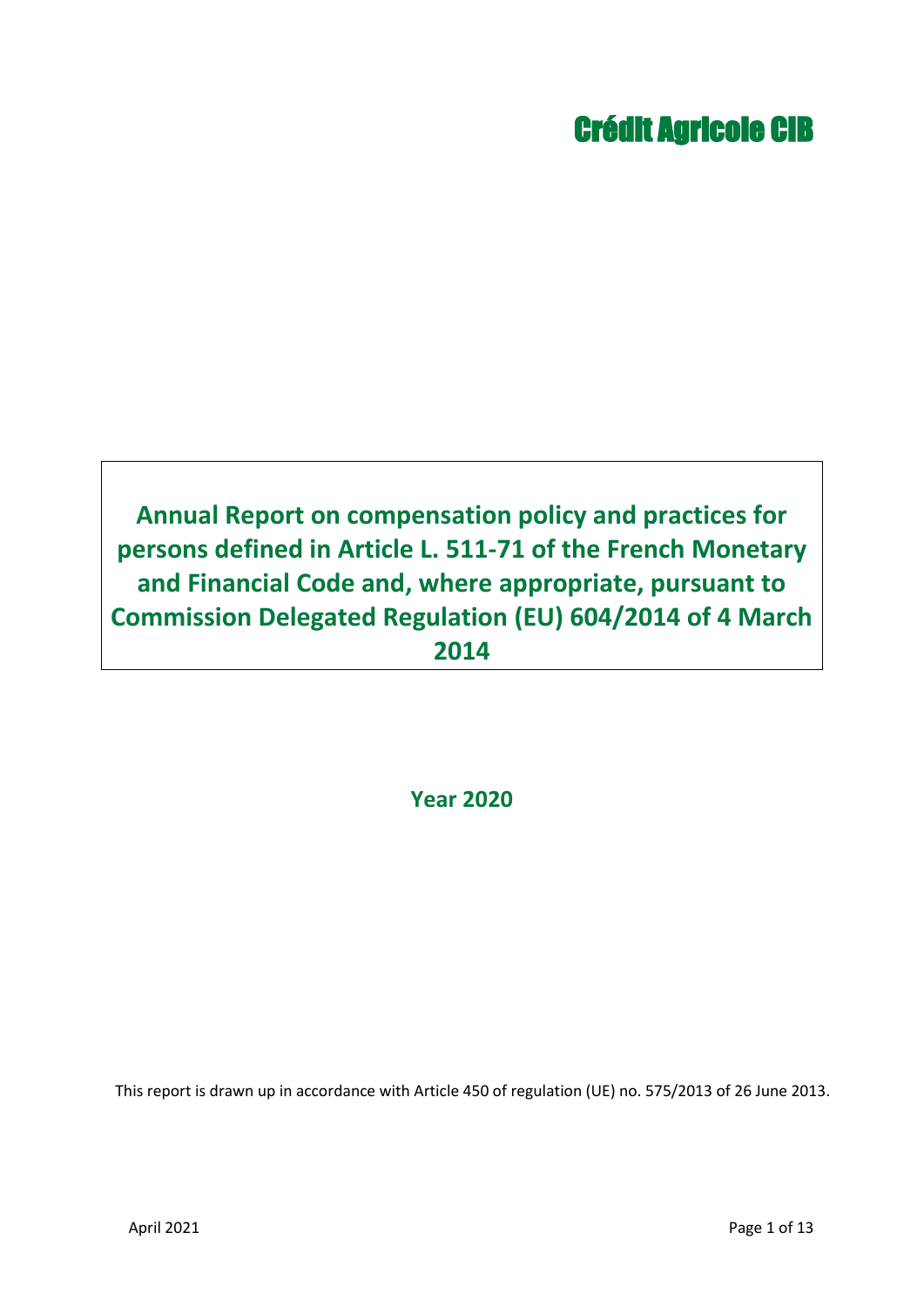# Crédit Agricole CIB

# **Annual Report on compensation policy and practices for persons defined in Article L. 511-71 of the French Monetary and Financial Code and, where appropriate, pursuant to Commission Delegated Regulation (EU) 604/2014 of 4 March 2014**

**Year 2020**

This report is drawn up in accordance with Article 450 of regulation (UE) no. 575/2013 of 26 June 2013.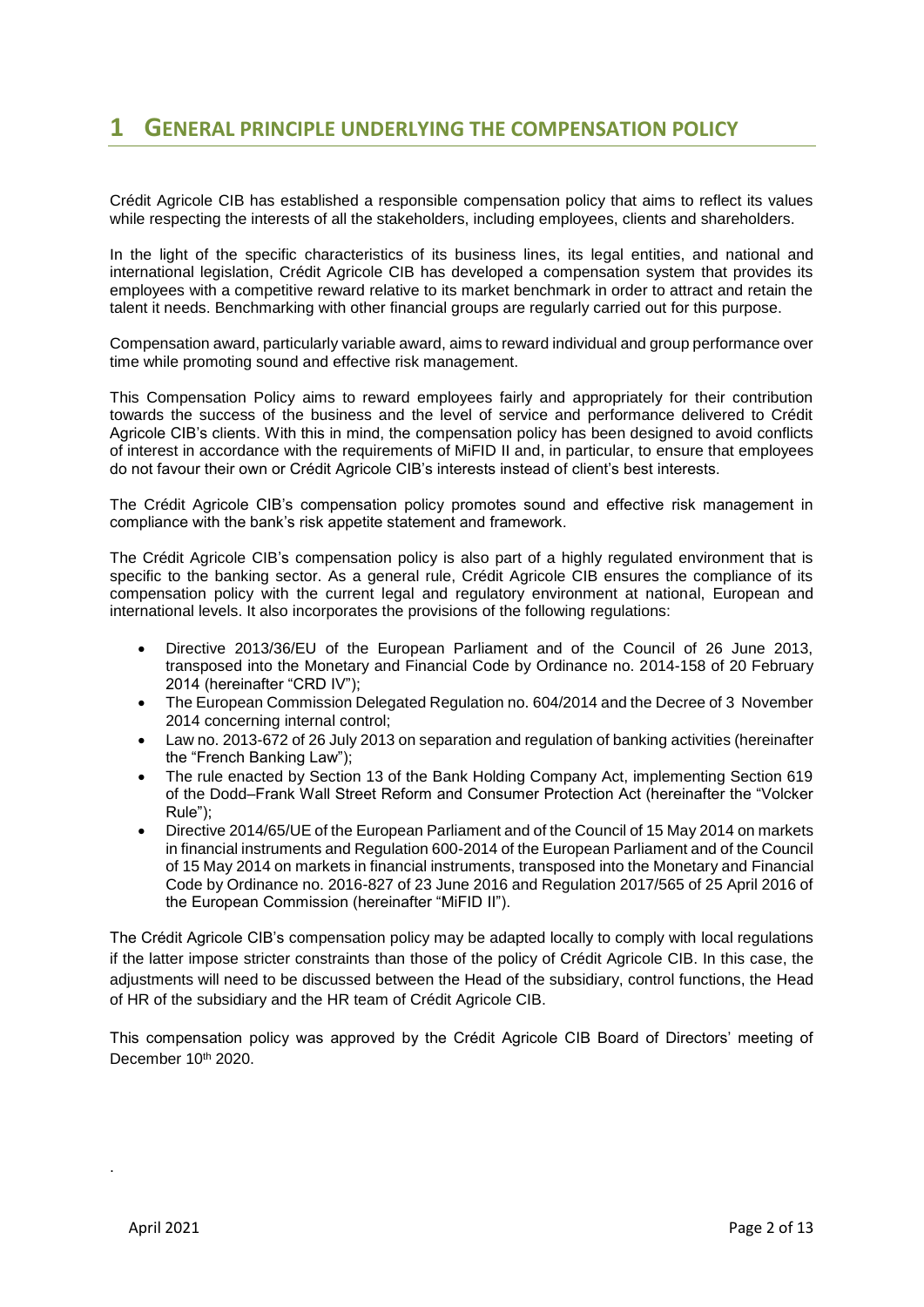## **1 GENERAL PRINCIPLE UNDERLYING THE COMPENSATION POLICY**

Crédit Agricole CIB has established a responsible compensation policy that aims to reflect its values while respecting the interests of all the stakeholders, including employees, clients and shareholders.

In the light of the specific characteristics of its business lines, its legal entities, and national and international legislation, Crédit Agricole CIB has developed a compensation system that provides its employees with a competitive reward relative to its market benchmark in order to attract and retain the talent it needs. Benchmarking with other financial groups are regularly carried out for this purpose.

Compensation award, particularly variable award, aims to reward individual and group performance over time while promoting sound and effective risk management.

This Compensation Policy aims to reward employees fairly and appropriately for their contribution towards the success of the business and the level of service and performance delivered to Crédit Agricole CIB's clients. With this in mind, the compensation policy has been designed to avoid conflicts of interest in accordance with the requirements of MiFID II and, in particular, to ensure that employees do not favour their own or Crédit Agricole CIB's interests instead of client's best interests.

The Crédit Agricole CIB's compensation policy promotes sound and effective risk management in compliance with the bank's risk appetite statement and framework.

The Crédit Agricole CIB's compensation policy is also part of a highly regulated environment that is specific to the banking sector. As a general rule, Crédit Agricole CIB ensures the compliance of its compensation policy with the current legal and regulatory environment at national, European and international levels. It also incorporates the provisions of the following regulations:

- Directive 2013/36/EU of the European Parliament and of the Council of 26 June 2013, transposed into the Monetary and Financial Code by Ordinance no. 2014-158 of 20 February 2014 (hereinafter "CRD IV");
- The European Commission Delegated Regulation no. 604/2014 and the Decree of 3 November 2014 concerning internal control;
- Law no. 2013-672 of 26 July 2013 on separation and regulation of banking activities (hereinafter the "French Banking Law");
- The rule enacted by Section 13 of the Bank Holding Company Act, implementing Section 619 of the Dodd–Frank Wall Street Reform and Consumer Protection Act (hereinafter the "Volcker Rule");
- Directive 2014/65/UE of the European Parliament and of the Council of 15 May 2014 on markets in financial instruments and Regulation 600-2014 of the European Parliament and of the Council of 15 May 2014 on markets in financial instruments, transposed into the Monetary and Financial Code by Ordinance no. 2016-827 of 23 June 2016 and Regulation 2017/565 of 25 April 2016 of the European Commission (hereinafter "MiFID II").

The Crédit Agricole CIB's compensation policy may be adapted locally to comply with local regulations if the latter impose stricter constraints than those of the policy of Crédit Agricole CIB. In this case, the adjustments will need to be discussed between the Head of the subsidiary, control functions, the Head of HR of the subsidiary and the HR team of Crédit Agricole CIB.

This compensation policy was approved by the Crédit Agricole CIB Board of Directors' meeting of December 10th 2020.

.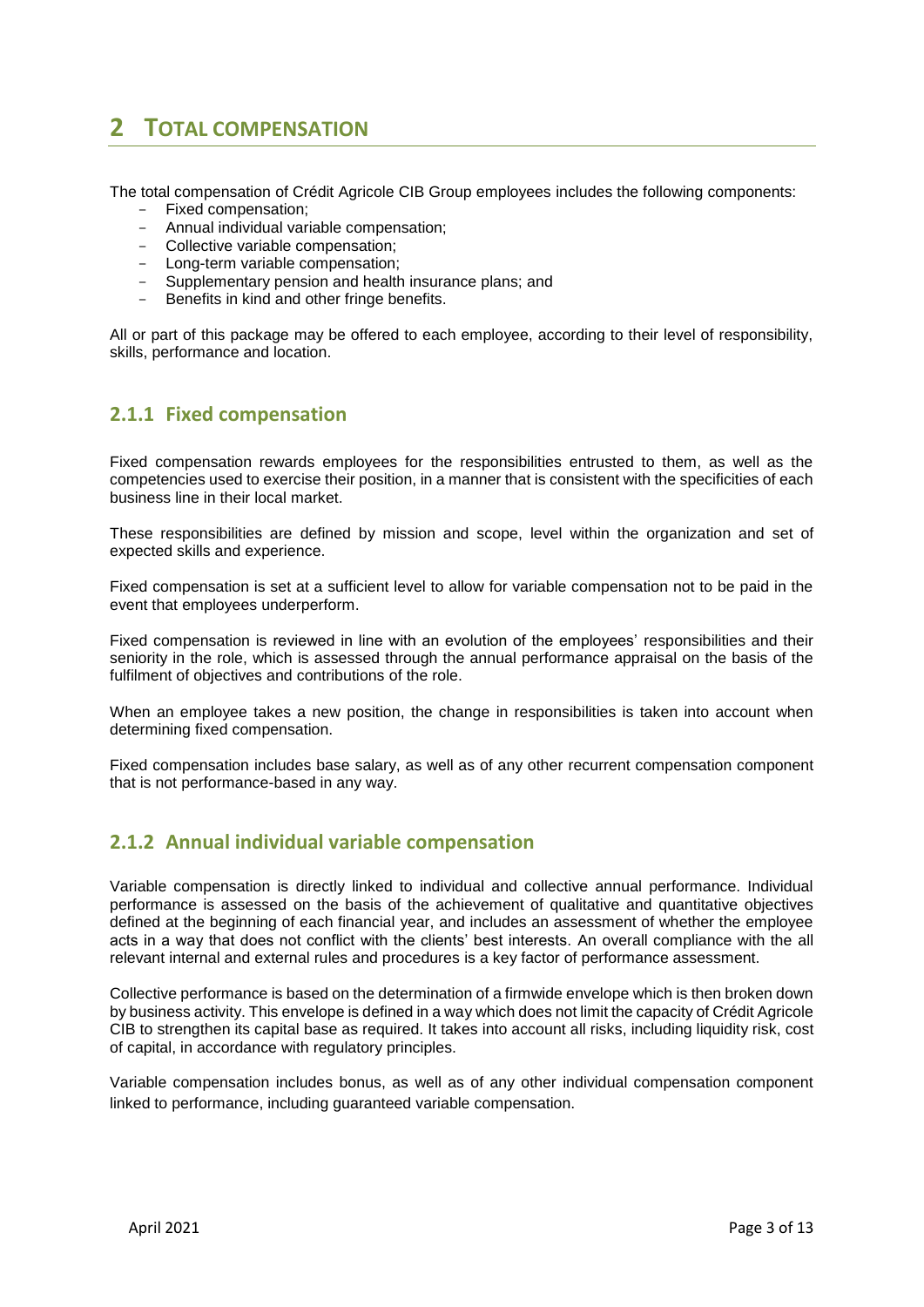# **2 TOTAL COMPENSATION**

The total compensation of Crédit Agricole CIB Group employees includes the following components:

- Fixed compensation;
- Annual individual variable compensation;
- Collective variable compensation;
- Long-term variable compensation;
- Supplementary pension and health insurance plans; and
- Benefits in kind and other fringe benefits.

All or part of this package may be offered to each employee, according to their level of responsibility, skills, performance and location.

#### **2.1.1 Fixed compensation**

Fixed compensation rewards employees for the responsibilities entrusted to them, as well as the competencies used to exercise their position, in a manner that is consistent with the specificities of each business line in their local market.

These responsibilities are defined by mission and scope, level within the organization and set of expected skills and experience.

Fixed compensation is set at a sufficient level to allow for variable compensation not to be paid in the event that employees underperform.

Fixed compensation is reviewed in line with an evolution of the employees' responsibilities and their seniority in the role, which is assessed through the annual performance appraisal on the basis of the fulfilment of objectives and contributions of the role.

When an employee takes a new position, the change in responsibilities is taken into account when determining fixed compensation.

Fixed compensation includes base salary, as well as of any other recurrent compensation component that is not performance-based in any way.

## **2.1.2 Annual individual variable compensation**

Variable compensation is directly linked to individual and collective annual performance. Individual performance is assessed on the basis of the achievement of qualitative and quantitative objectives defined at the beginning of each financial year, and includes an assessment of whether the employee acts in a way that does not conflict with the clients' best interests. An overall compliance with the all relevant internal and external rules and procedures is a key factor of performance assessment.

Collective performance is based on the determination of a firmwide envelope which is then broken down by business activity. This envelope is defined in a way which does not limit the capacity of Crédit Agricole CIB to strengthen its capital base as required. It takes into account all risks, including liquidity risk, cost of capital, in accordance with regulatory principles.

Variable compensation includes bonus, as well as of any other individual compensation component linked to performance, including guaranteed variable compensation.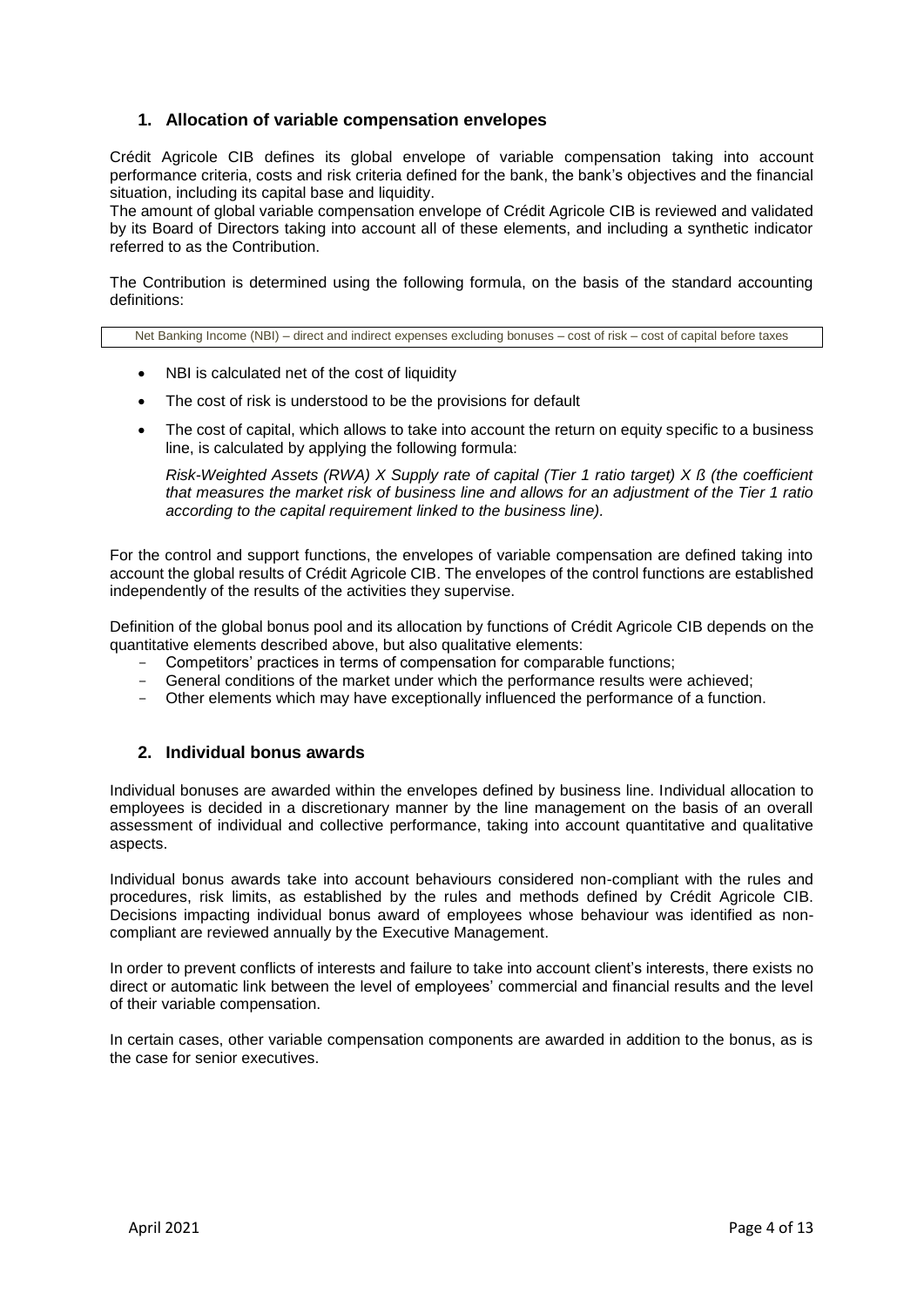#### **1. Allocation of variable compensation envelopes**

Crédit Agricole CIB defines its global envelope of variable compensation taking into account performance criteria, costs and risk criteria defined for the bank, the bank's objectives and the financial situation, including its capital base and liquidity.

The amount of global variable compensation envelope of Crédit Agricole CIB is reviewed and validated by its Board of Directors taking into account all of these elements, and including a synthetic indicator referred to as the Contribution.

The Contribution is determined using the following formula, on the basis of the standard accounting definitions:

Net Banking Income (NBI) – direct and indirect expenses excluding bonuses – cost of risk – cost of capital before taxes

- NBI is calculated net of the cost of liquidity
- The cost of risk is understood to be the provisions for default
- The cost of capital, which allows to take into account the return on equity specific to a business line, is calculated by applying the following formula:

*Risk-Weighted Assets (RWA) X Supply rate of capital (Tier 1 ratio target) X ß (the coefficient that measures the market risk of business line and allows for an adjustment of the Tier 1 ratio according to the capital requirement linked to the business line).*

For the control and support functions, the envelopes of variable compensation are defined taking into account the global results of Crédit Agricole CIB. The envelopes of the control functions are established independently of the results of the activities they supervise.

Definition of the global bonus pool and its allocation by functions of Crédit Agricole CIB depends on the quantitative elements described above, but also qualitative elements:

- Competitors' practices in terms of compensation for comparable functions;
- General conditions of the market under which the performance results were achieved;
- Other elements which may have exceptionally influenced the performance of a function.

#### **2. Individual bonus awards**

Individual bonuses are awarded within the envelopes defined by business line. Individual allocation to employees is decided in a discretionary manner by the line management on the basis of an overall assessment of individual and collective performance, taking into account quantitative and qualitative aspects.

Individual bonus awards take into account behaviours considered non-compliant with the rules and procedures, risk limits, as established by the rules and methods defined by Crédit Agricole CIB. Decisions impacting individual bonus award of employees whose behaviour was identified as noncompliant are reviewed annually by the Executive Management.

In order to prevent conflicts of interests and failure to take into account client's interests, there exists no direct or automatic link between the level of employees' commercial and financial results and the level of their variable compensation.

In certain cases, other variable compensation components are awarded in addition to the bonus, as is the case for senior executives.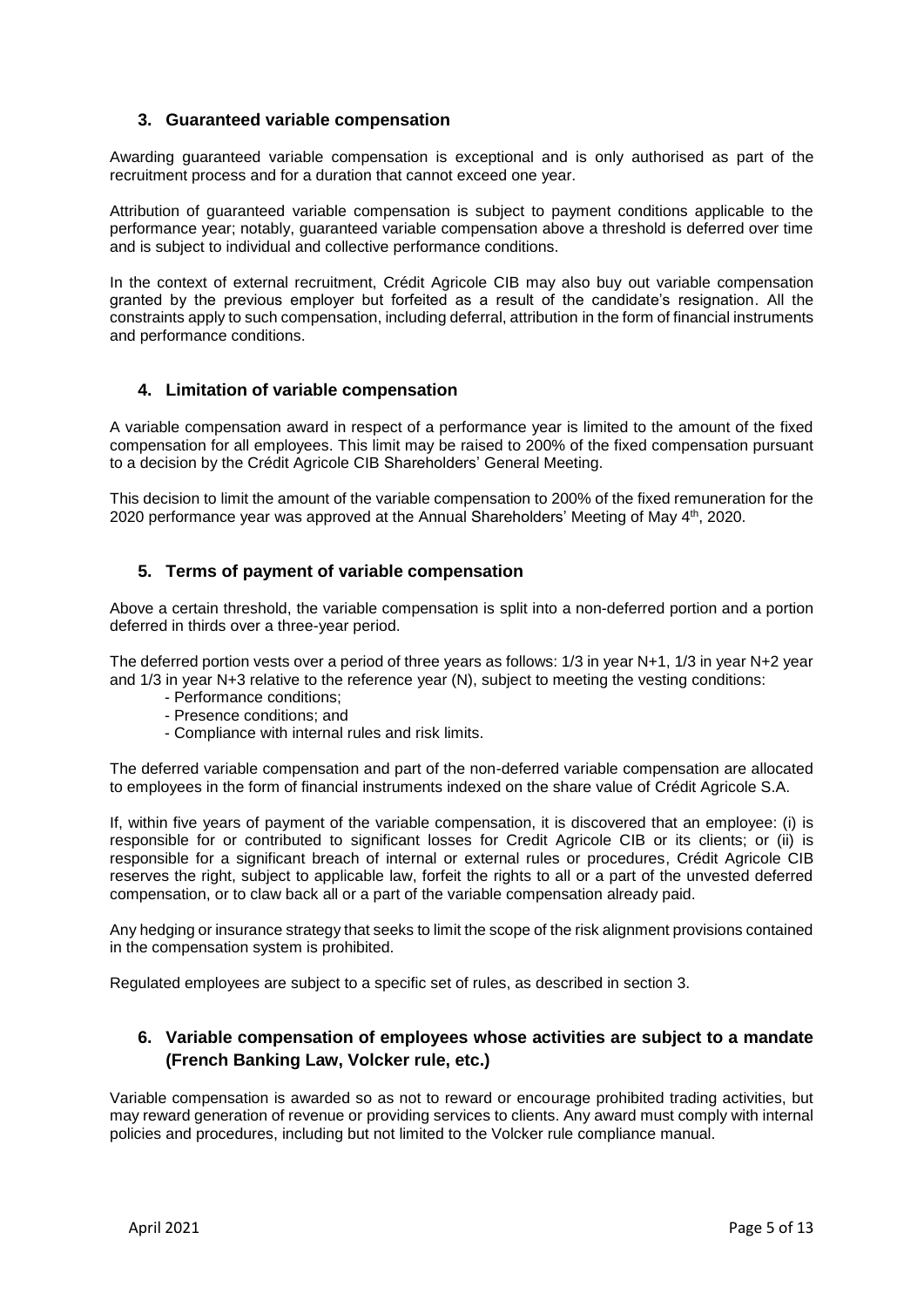#### **3. Guaranteed variable compensation**

Awarding guaranteed variable compensation is exceptional and is only authorised as part of the recruitment process and for a duration that cannot exceed one year.

Attribution of guaranteed variable compensation is subject to payment conditions applicable to the performance year; notably, guaranteed variable compensation above a threshold is deferred over time and is subject to individual and collective performance conditions.

In the context of external recruitment, Crédit Agricole CIB may also buy out variable compensation granted by the previous employer but forfeited as a result of the candidate's resignation. All the constraints apply to such compensation, including deferral, attribution in the form of financial instruments and performance conditions.

#### **4. Limitation of variable compensation**

A variable compensation award in respect of a performance year is limited to the amount of the fixed compensation for all employees. This limit may be raised to 200% of the fixed compensation pursuant to a decision by the Crédit Agricole CIB Shareholders' General Meeting.

This decision to limit the amount of the variable compensation to 200% of the fixed remuneration for the 2020 performance year was approved at the Annual Shareholders' Meeting of May 4<sup>th</sup>, 2020.

#### **5. Terms of payment of variable compensation**

Above a certain threshold, the variable compensation is split into a non-deferred portion and a portion deferred in thirds over a three-year period.

The deferred portion vests over a period of three years as follows: 1/3 in year N+1, 1/3 in year N+2 year and 1/3 in year N+3 relative to the reference year (N), subject to meeting the vesting conditions:

- Performance conditions;
- Presence conditions; and
- Compliance with internal rules and risk limits.

The deferred variable compensation and part of the non-deferred variable compensation are allocated to employees in the form of financial instruments indexed on the share value of Crédit Agricole S.A.

If, within five years of payment of the variable compensation, it is discovered that an employee: (i) is responsible for or contributed to significant losses for Credit Agricole CIB or its clients; or (ii) is responsible for a significant breach of internal or external rules or procedures, Crédit Agricole CIB reserves the right, subject to applicable law, forfeit the rights to all or a part of the unvested deferred compensation, or to claw back all or a part of the variable compensation already paid.

Any hedging or insurance strategy that seeks to limit the scope of the risk alignment provisions contained in the compensation system is prohibited.

Regulated employees are subject to a specific set of rules, as described in section 3.

#### **6. Variable compensation of employees whose activities are subject to a mandate (French Banking Law, Volcker rule, etc.)**

Variable compensation is awarded so as not to reward or encourage prohibited trading activities, but may reward generation of revenue or providing services to clients. Any award must comply with internal policies and procedures, including but not limited to the Volcker rule compliance manual.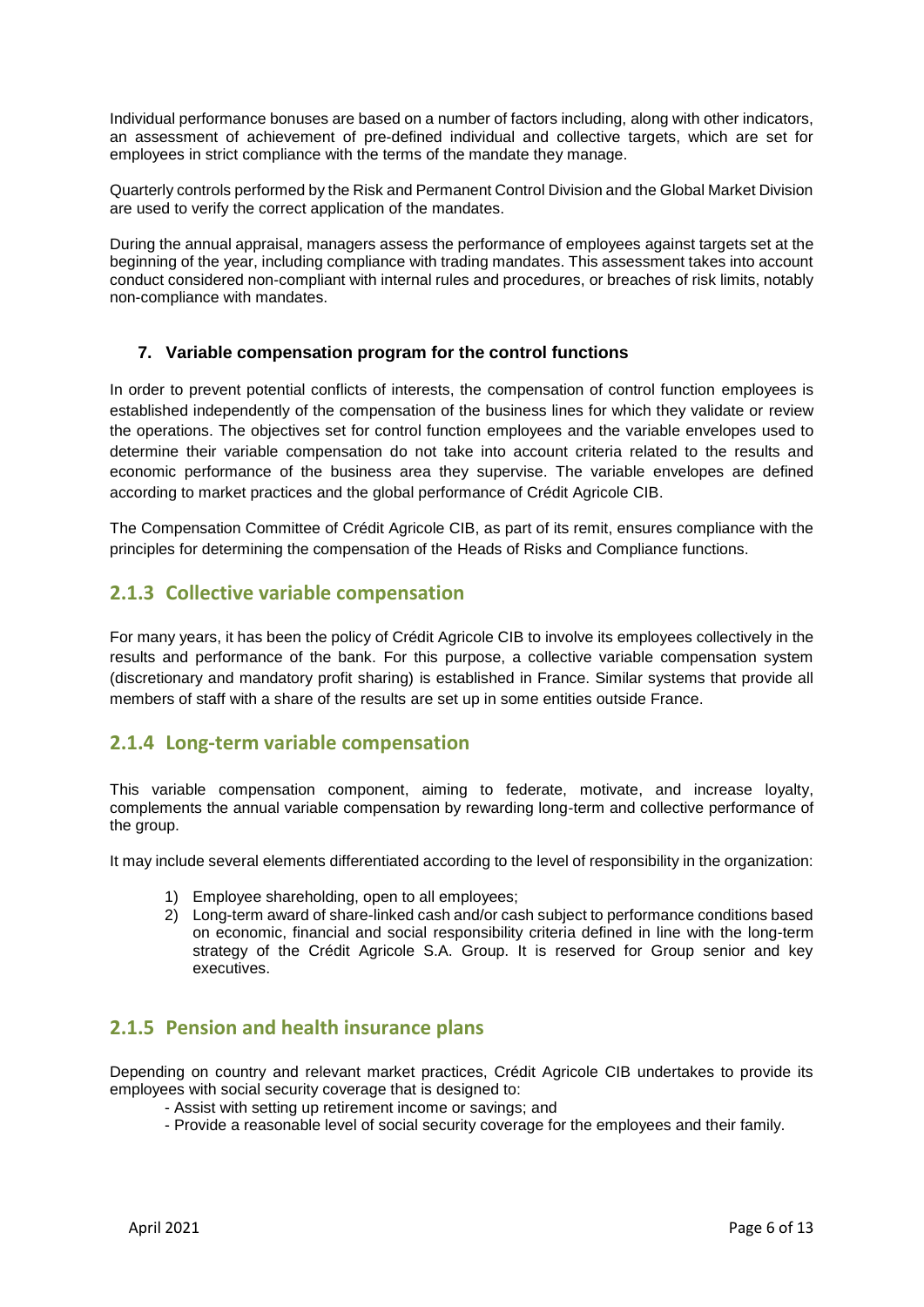Individual performance bonuses are based on a number of factors including, along with other indicators, an assessment of achievement of pre-defined individual and collective targets, which are set for employees in strict compliance with the terms of the mandate they manage.

Quarterly controls performed by the Risk and Permanent Control Division and the Global Market Division are used to verify the correct application of the mandates.

During the annual appraisal, managers assess the performance of employees against targets set at the beginning of the year, including compliance with trading mandates. This assessment takes into account conduct considered non-compliant with internal rules and procedures, or breaches of risk limits, notably non-compliance with mandates.

#### **7. Variable compensation program for the control functions**

In order to prevent potential conflicts of interests, the compensation of control function employees is established independently of the compensation of the business lines for which they validate or review the operations. The objectives set for control function employees and the variable envelopes used to determine their variable compensation do not take into account criteria related to the results and economic performance of the business area they supervise. The variable envelopes are defined according to market practices and the global performance of Crédit Agricole CIB.

The Compensation Committee of Crédit Agricole CIB, as part of its remit, ensures compliance with the principles for determining the compensation of the Heads of Risks and Compliance functions.

#### **2.1.3 Collective variable compensation**

For many years, it has been the policy of Crédit Agricole CIB to involve its employees collectively in the results and performance of the bank. For this purpose, a collective variable compensation system (discretionary and mandatory profit sharing) is established in France. Similar systems that provide all members of staff with a share of the results are set up in some entities outside France.

#### **2.1.4 Long-term variable compensation**

This variable compensation component, aiming to federate, motivate, and increase loyalty, complements the annual variable compensation by rewarding long-term and collective performance of the group.

It may include several elements differentiated according to the level of responsibility in the organization:

- 1) Employee shareholding, open to all employees;
- 2) Long-term award of share-linked cash and/or cash subject to performance conditions based on economic, financial and social responsibility criteria defined in line with the long-term strategy of the Crédit Agricole S.A. Group. It is reserved for Group senior and key executives.

#### **2.1.5 Pension and health insurance plans**

Depending on country and relevant market practices, Crédit Agricole CIB undertakes to provide its employees with social security coverage that is designed to:

- Assist with setting up retirement income or savings; and
- Provide a reasonable level of social security coverage for the employees and their family.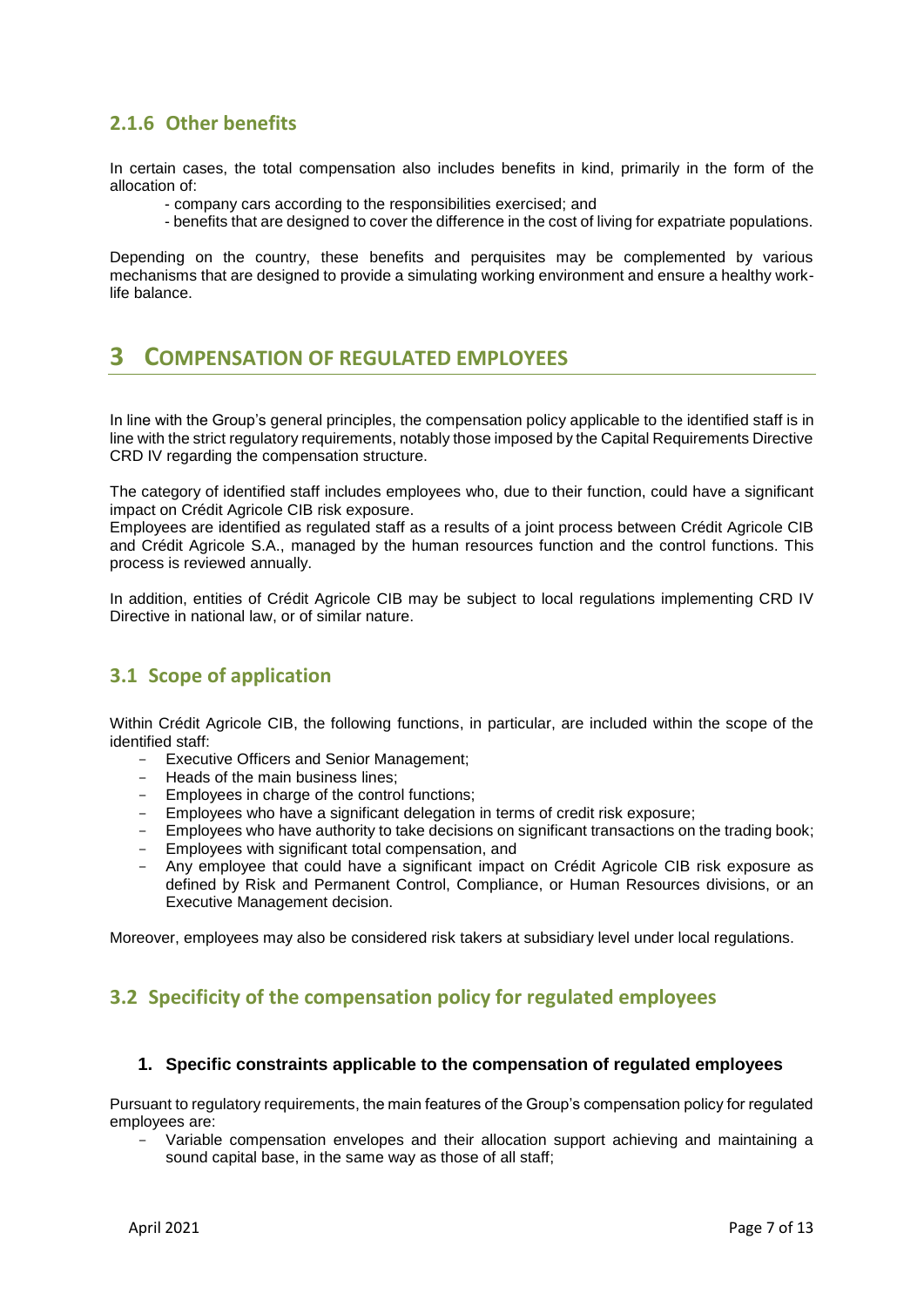## **2.1.6 Other benefits**

In certain cases, the total compensation also includes benefits in kind, primarily in the form of the allocation of:

- company cars according to the responsibilities exercised; and
- benefits that are designed to cover the difference in the cost of living for expatriate populations.

Depending on the country, these benefits and perquisites may be complemented by various mechanisms that are designed to provide a simulating working environment and ensure a healthy worklife balance.

# **3 COMPENSATION OF REGULATED EMPLOYEES**

In line with the Group's general principles, the compensation policy applicable to the identified staff is in line with the strict regulatory requirements, notably those imposed by the Capital Requirements Directive CRD IV regarding the compensation structure.

The category of identified staff includes employees who, due to their function, could have a significant impact on Crédit Agricole CIB risk exposure.

Employees are identified as regulated staff as a results of a joint process between Crédit Agricole CIB and Crédit Agricole S.A., managed by the human resources function and the control functions. This process is reviewed annually.

In addition, entities of Crédit Agricole CIB may be subject to local regulations implementing CRD IV Directive in national law, or of similar nature.

## **3.1 Scope of application**

Within Crédit Agricole CIB, the following functions, in particular, are included within the scope of the identified staff:

- Executive Officers and Senior Management;
- Heads of the main business lines;
- Employees in charge of the control functions;
- Employees who have a significant delegation in terms of credit risk exposure;
- Employees who have authority to take decisions on significant transactions on the trading book;
- Employees with significant total compensation, and
- Any employee that could have a significant impact on Crédit Agricole CIB risk exposure as defined by Risk and Permanent Control, Compliance, or Human Resources divisions, or an Executive Management decision.

Moreover, employees may also be considered risk takers at subsidiary level under local regulations.

## **3.2 Specificity of the compensation policy for regulated employees**

#### **1. Specific constraints applicable to the compensation of regulated employees**

Pursuant to regulatory requirements, the main features of the Group's compensation policy for regulated employees are:

- Variable compensation envelopes and their allocation support achieving and maintaining a sound capital base, in the same way as those of all staff;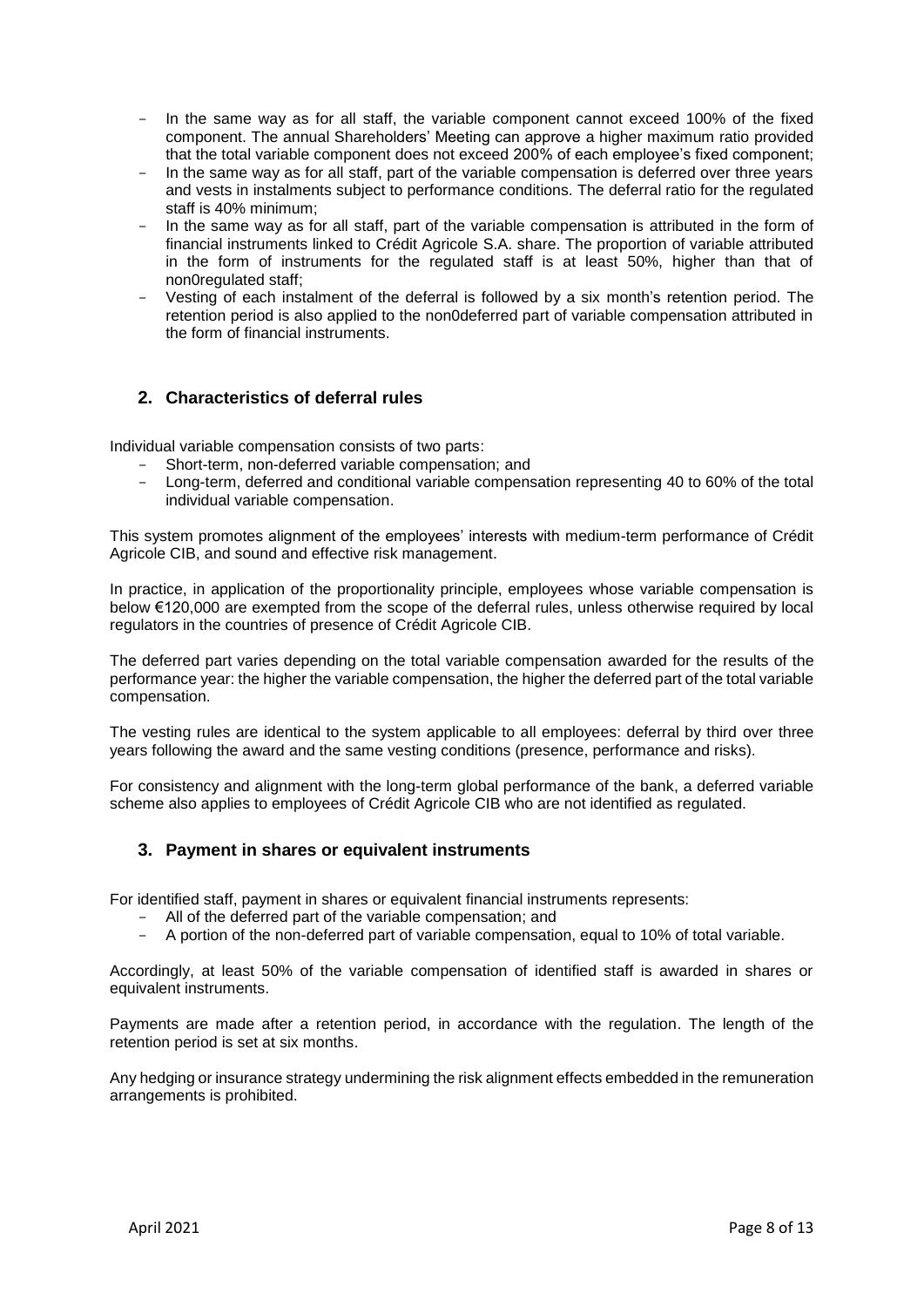- In the same way as for all staff, the variable component cannot exceed 100% of the fixed component. The annual Shareholders' Meeting can approve a higher maximum ratio provided that the total variable component does not exceed 200% of each employee's fixed component;
- In the same way as for all staff, part of the variable compensation is deferred over three years and vests in instalments subject to performance conditions. The deferral ratio for the regulated staff is 40% minimum;
- In the same way as for all staff, part of the variable compensation is attributed in the form of financial instruments linked to Crédit Agricole S.A. share. The proportion of variable attributed in the form of instruments for the regulated staff is at least 50%, higher than that of non0regulated staff;
- Vesting of each instalment of the deferral is followed by a six month's retention period. The retention period is also applied to the non0deferred part of variable compensation attributed in the form of financial instruments.

#### **2. Characteristics of deferral rules**

Individual variable compensation consists of two parts:

- Short-term, non-deferred variable compensation; and
- Long-term, deferred and conditional variable compensation representing 40 to 60% of the total individual variable compensation.

This system promotes alignment of the employees' interests with medium-term performance of Crédit Agricole CIB, and sound and effective risk management.

In practice, in application of the proportionality principle, employees whose variable compensation is below €120,000 are exempted from the scope of the deferral rules, unless otherwise required by local regulators in the countries of presence of Crédit Agricole CIB.

The deferred part varies depending on the total variable compensation awarded for the results of the performance year: the higher the variable compensation, the higher the deferred part of the total variable compensation.

The vesting rules are identical to the system applicable to all employees: deferral by third over three years following the award and the same vesting conditions (presence, performance and risks).

For consistency and alignment with the long-term global performance of the bank, a deferred variable scheme also applies to employees of Crédit Agricole CIB who are not identified as regulated.

#### **3. Payment in shares or equivalent instruments**

For identified staff, payment in shares or equivalent financial instruments represents:

- All of the deferred part of the variable compensation; and
- A portion of the non-deferred part of variable compensation, equal to 10% of total variable.

Accordingly, at least 50% of the variable compensation of identified staff is awarded in shares or equivalent instruments.

Payments are made after a retention period, in accordance with the regulation. The length of the retention period is set at six months.

Any hedging or insurance strategy undermining the risk alignment effects embedded in the remuneration arrangements is prohibited.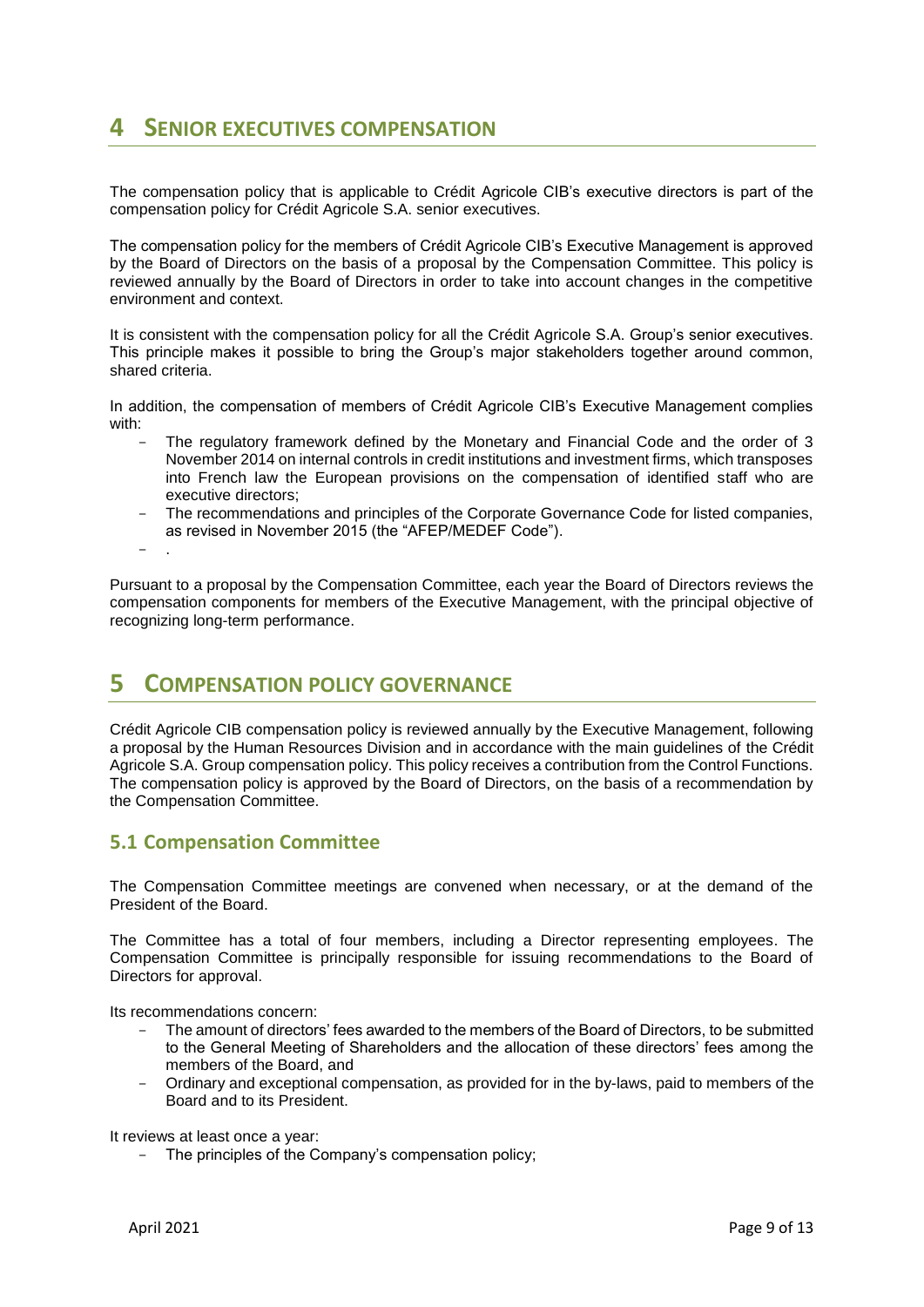# **4 SENIOR EXECUTIVES COMPENSATION**

The compensation policy that is applicable to Crédit Agricole CIB's executive directors is part of the compensation policy for Crédit Agricole S.A. senior executives.

The compensation policy for the members of Crédit Agricole CIB's Executive Management is approved by the Board of Directors on the basis of a proposal by the Compensation Committee. This policy is reviewed annually by the Board of Directors in order to take into account changes in the competitive environment and context.

It is consistent with the compensation policy for all the Crédit Agricole S.A. Group's senior executives. This principle makes it possible to bring the Group's major stakeholders together around common, shared criteria.

In addition, the compensation of members of Crédit Agricole CIB's Executive Management complies with:

- The regulatory framework defined by the Monetary and Financial Code and the order of 3 November 2014 on internal controls in credit institutions and investment firms, which transposes into French law the European provisions on the compensation of identified staff who are executive directors;
- The recommendations and principles of the Corporate Governance Code for listed companies, as revised in November 2015 (the "AFEP/MEDEF Code").
- .

Pursuant to a proposal by the Compensation Committee, each year the Board of Directors reviews the compensation components for members of the Executive Management, with the principal objective of recognizing long-term performance.

## **5 COMPENSATION POLICY GOVERNANCE**

Crédit Agricole CIB compensation policy is reviewed annually by the Executive Management, following a proposal by the Human Resources Division and in accordance with the main guidelines of the Crédit Agricole S.A. Group compensation policy. This policy receives a contribution from the Control Functions. The compensation policy is approved by the Board of Directors, on the basis of a recommendation by the Compensation Committee.

#### **5.1 Compensation Committee**

The Compensation Committee meetings are convened when necessary, or at the demand of the President of the Board.

The Committee has a total of four members, including a Director representing employees. The Compensation Committee is principally responsible for issuing recommendations to the Board of Directors for approval.

Its recommendations concern:

- The amount of directors' fees awarded to the members of the Board of Directors, to be submitted to the General Meeting of Shareholders and the allocation of these directors' fees among the members of the Board, and
- Ordinary and exceptional compensation, as provided for in the by-laws, paid to members of the Board and to its President.

It reviews at least once a year:

- The principles of the Company's compensation policy;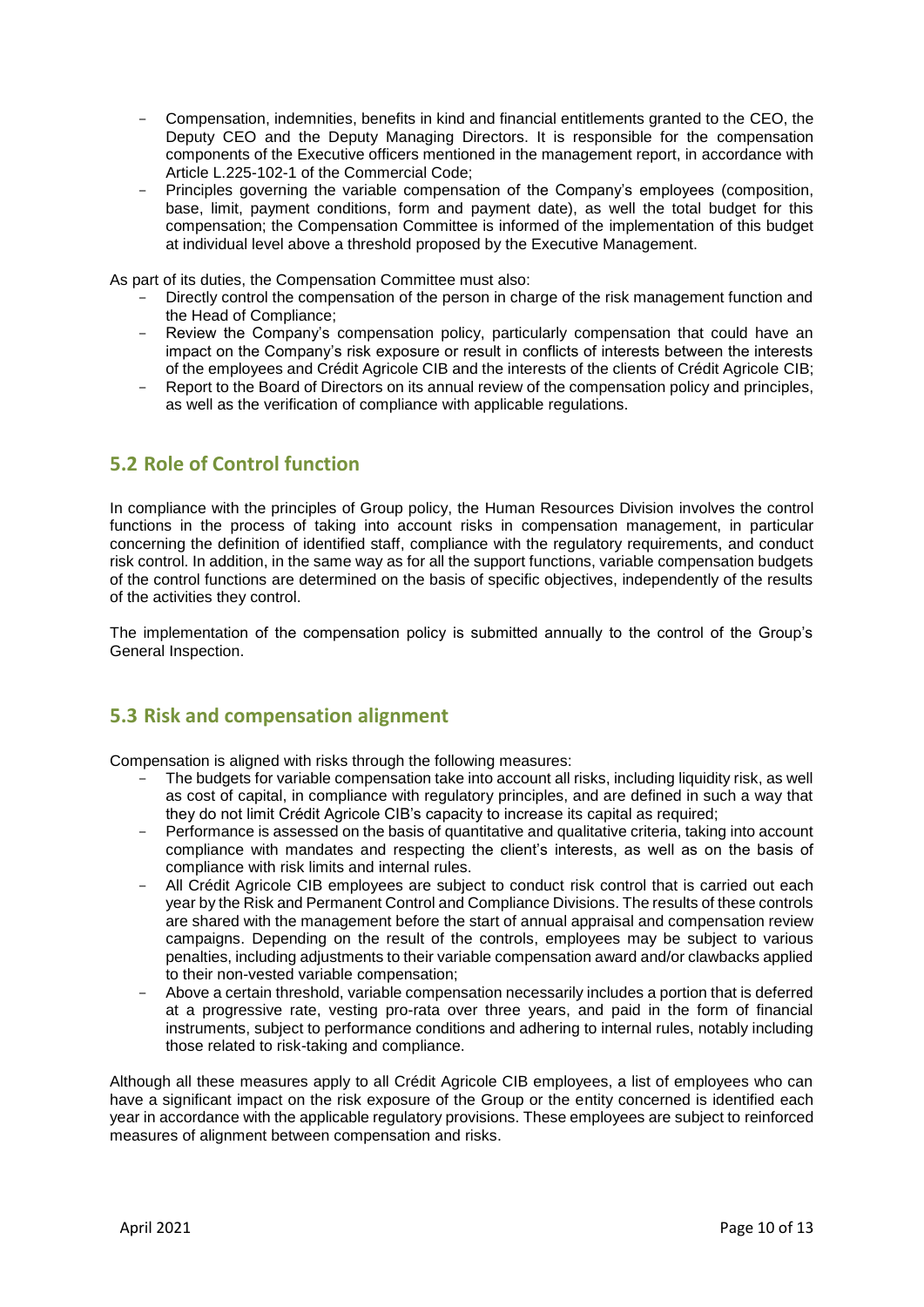- Compensation, indemnities, benefits in kind and financial entitlements granted to the CEO, the Deputy CEO and the Deputy Managing Directors. It is responsible for the compensation components of the Executive officers mentioned in the management report, in accordance with Article L.225-102-1 of the Commercial Code;
- Principles governing the variable compensation of the Company's employees (composition, base, limit, payment conditions, form and payment date), as well the total budget for this compensation; the Compensation Committee is informed of the implementation of this budget at individual level above a threshold proposed by the Executive Management.

As part of its duties, the Compensation Committee must also:

- Directly control the compensation of the person in charge of the risk management function and the Head of Compliance;
- Review the Company's compensation policy, particularly compensation that could have an impact on the Company's risk exposure or result in conflicts of interests between the interests of the employees and Crédit Agricole CIB and the interests of the clients of Crédit Agricole CIB;
- Report to the Board of Directors on its annual review of the compensation policy and principles, as well as the verification of compliance with applicable regulations.

## **5.2 Role of Control function**

In compliance with the principles of Group policy, the Human Resources Division involves the control functions in the process of taking into account risks in compensation management, in particular concerning the definition of identified staff, compliance with the regulatory requirements, and conduct risk control. In addition, in the same way as for all the support functions, variable compensation budgets of the control functions are determined on the basis of specific objectives, independently of the results of the activities they control.

The implementation of the compensation policy is submitted annually to the control of the Group's General Inspection.

#### **5.3 Risk and compensation alignment**

Compensation is aligned with risks through the following measures:

- The budgets for variable compensation take into account all risks, including liquidity risk, as well as cost of capital, in compliance with regulatory principles, and are defined in such a way that they do not limit Crédit Agricole CIB's capacity to increase its capital as required;
- Performance is assessed on the basis of quantitative and qualitative criteria, taking into account compliance with mandates and respecting the client's interests, as well as on the basis of compliance with risk limits and internal rules.
- All Crédit Agricole CIB employees are subject to conduct risk control that is carried out each year by the Risk and Permanent Control and Compliance Divisions. The results of these controls are shared with the management before the start of annual appraisal and compensation review campaigns. Depending on the result of the controls, employees may be subject to various penalties, including adjustments to their variable compensation award and/or clawbacks applied to their non-vested variable compensation;
- Above a certain threshold, variable compensation necessarily includes a portion that is deferred at a progressive rate, vesting pro-rata over three years, and paid in the form of financial instruments, subject to performance conditions and adhering to internal rules, notably including those related to risk-taking and compliance.

Although all these measures apply to all Crédit Agricole CIB employees, a list of employees who can have a significant impact on the risk exposure of the Group or the entity concerned is identified each year in accordance with the applicable regulatory provisions. These employees are subject to reinforced measures of alignment between compensation and risks.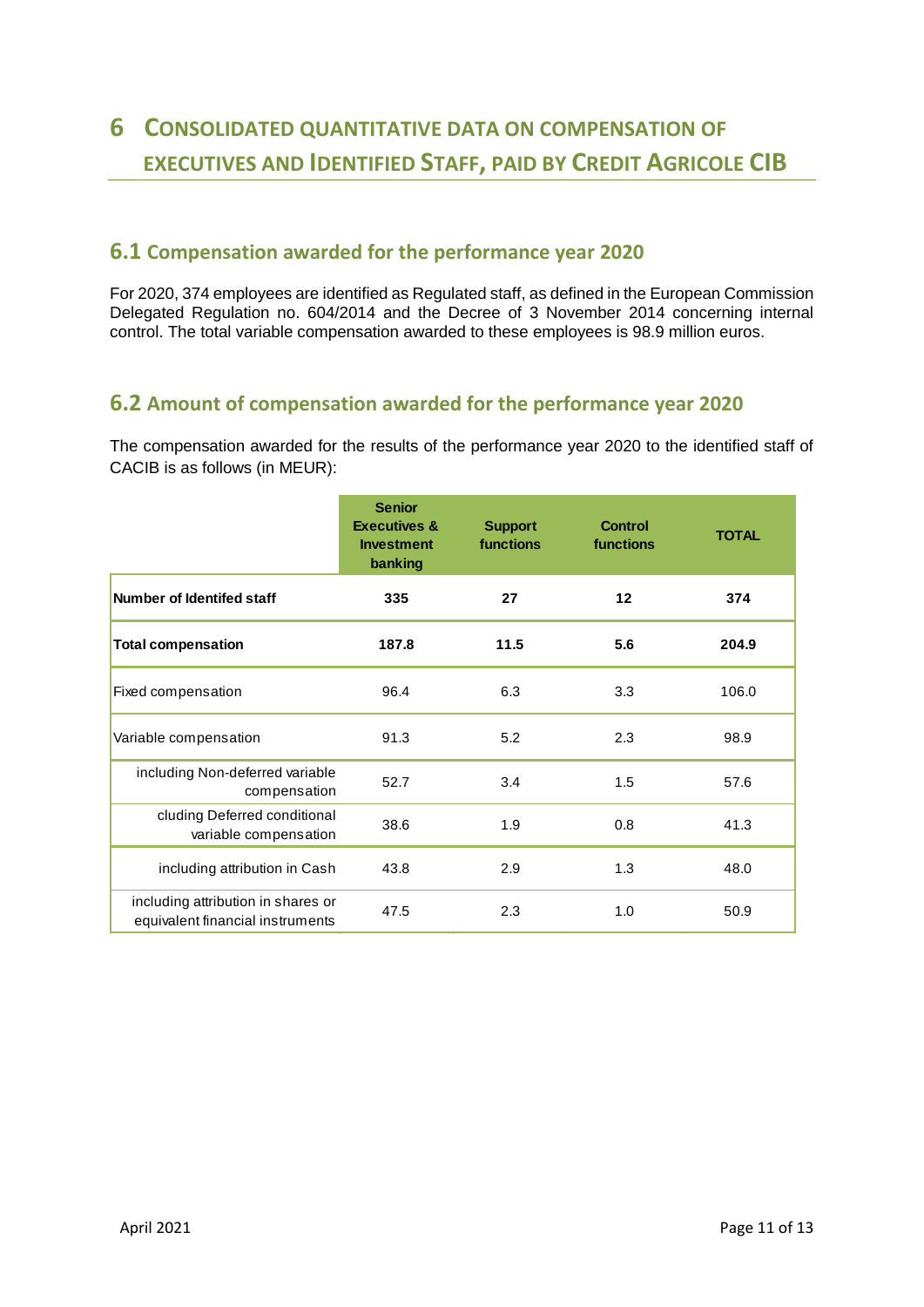# **6 CONSOLIDATED QUANTITATIVE DATA ON COMPENSATION OF EXECUTIVES AND IDENTIFIED STAFF, PAID BY CREDIT AGRICOLE CIB**

## **6.1 Compensation awarded for the performance year 2020**

For 2020, 374 employees are identified as Regulated staff, as defined in the European Commission Delegated Regulation no. 604/2014 and the Decree of 3 November 2014 concerning internal control. The total variable compensation awarded to these employees is 98.9 million euros.

## **6.2 Amount of compensation awarded for the performance year 2020**

The compensation awarded for the results of the performance year 2020 to the identified staff of CACIB is as follows (in MEUR):

|                                                                        | <b>Senior</b><br><b>Executives &amp;</b><br><b>Investment</b><br>banking | <b>Support</b><br>functions | <b>Control</b><br>functions | <b>TOTAL</b> |
|------------------------------------------------------------------------|--------------------------------------------------------------------------|-----------------------------|-----------------------------|--------------|
| Number of Identifed staff                                              | 335                                                                      | 27                          | $12 \,$                     | 374          |
| <b>Total compensation</b>                                              | 187.8                                                                    | 11.5                        | 5.6                         | 204.9        |
| Fixed compensation                                                     | 96.4                                                                     | 6.3                         | 3.3                         | 106.0        |
| Variable compensation                                                  | 91.3                                                                     | 5.2                         | 2.3                         | 98.9         |
| including Non-deferred variable<br>compensation                        | 52.7                                                                     | 3.4                         | 1.5                         | 57.6         |
| cluding Deferred conditional<br>variable compensation                  | 38.6                                                                     | 1.9                         | 0.8                         | 41.3         |
| including attribution in Cash                                          | 43.8                                                                     | 2.9                         | 1.3                         | 48.0         |
| including attribution in shares or<br>equivalent financial instruments | 47.5                                                                     | 2.3                         | 1.0                         | 50.9         |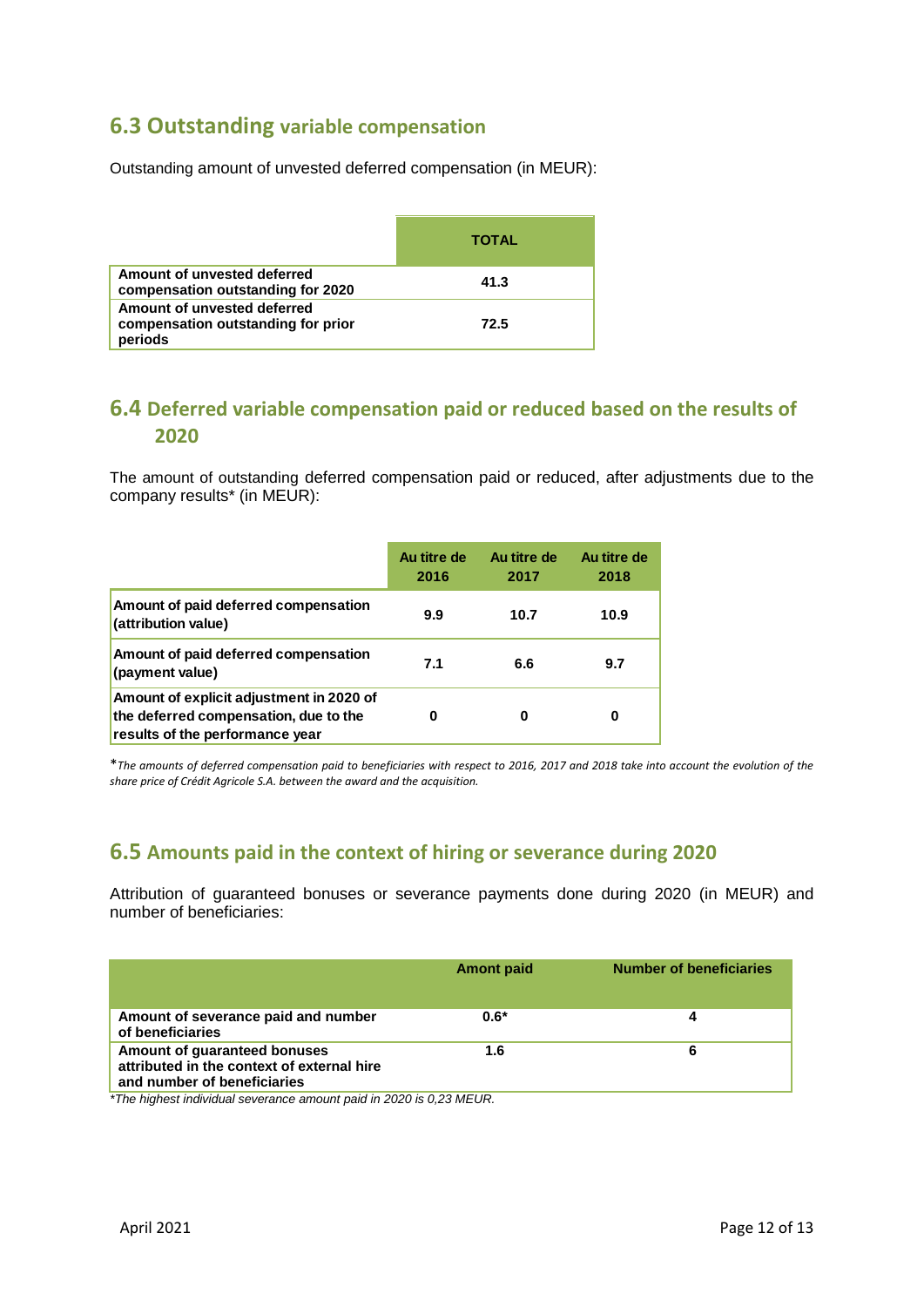# **6.3 Outstanding variable compensation**

Outstanding amount of unvested deferred compensation (in MEUR):

|                                                                              | <b>TOTAL</b> |
|------------------------------------------------------------------------------|--------------|
| Amount of unvested deferred<br>compensation outstanding for 2020             | 41.3         |
| Amount of unvested deferred<br>compensation outstanding for prior<br>periods | 72.5         |

## **6.4 Deferred variable compensation paid or reduced based on the results of 2020**

The amount of outstanding deferred compensation paid or reduced, after adjustments due to the company results\* (in MEUR):

|                                                                                                                      | Au titre de<br>2016 | Au titre de<br>2017 | Au titre de<br>2018 |
|----------------------------------------------------------------------------------------------------------------------|---------------------|---------------------|---------------------|
| Amount of paid deferred compensation<br>(attribution value)                                                          | 9.9                 | 10.7                | 10.9                |
| Amount of paid deferred compensation<br>(payment value)                                                              | 7.1                 | 6.6                 | 9.7                 |
| Amount of explicit adjustment in 2020 of<br>the deferred compensation, due to the<br>results of the performance year | Ω                   |                     | 0                   |

\**The amounts of deferred compensation paid to beneficiaries with respect to 2016, 2017 and 2018 take into account the evolution of the share price of Crédit Agricole S.A. between the award and the acquisition.*

## **6.5 Amounts paid in the context of hiring or severance during 2020**

Attribution of guaranteed bonuses or severance payments done during 2020 (in MEUR) and number of beneficiaries:

|                                                                                                           | <b>Amont paid</b> | <b>Number of beneficiaries</b> |
|-----------------------------------------------------------------------------------------------------------|-------------------|--------------------------------|
| Amount of severance paid and number<br>of beneficiaries                                                   | $0.6*$            |                                |
| Amount of guaranteed bonuses<br>attributed in the context of external hire<br>and number of beneficiaries | 1.6               | 6                              |

*\*The highest individual severance amount paid in 2020 is 0,23 MEUR.*